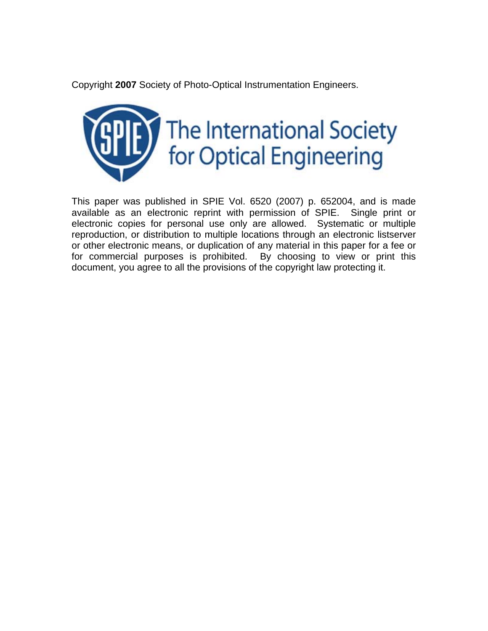Copyright **2007** Society of Photo-Optical Instrumentation Engineers.



This paper was published in SPIE Vol. 6520 (2007) p. 652004, and is made available as an electronic reprint with permission of SPIE. Single print or electronic copies for personal use only are allowed. Systematic or multiple reproduction, or distribution to multiple locations through an electronic listserver or other electronic means, or duplication of any material in this paper for a fee or for commercial purposes is prohibited. By choosing to view or print this document, you agree to all the provisions of the copyright law protecting it.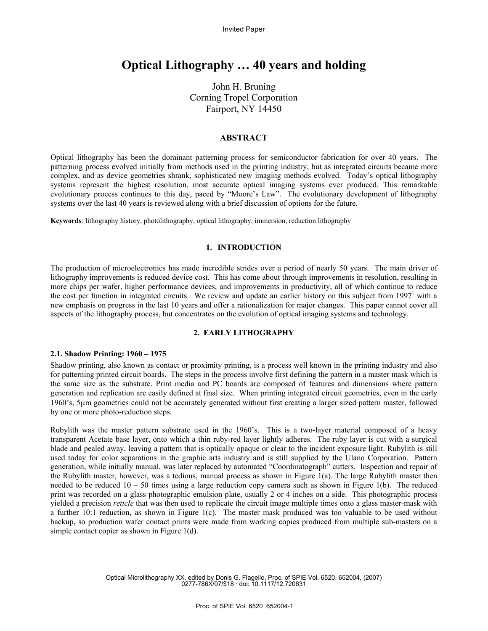Invited Paper

# **Optical Lithography … 40 years and holding**

John H. Bruning Corning Tropel Corporation Fairport, NY 14450

# **ABSTRACT**

Optical lithography has been the dominant patterning process for semiconductor fabrication for over 40 years. The patterning process evolved initially from methods used in the printing industry, but as integrated circuits became more complex, and as device geometries shrank, sophisticated new imaging methods evolved. Today's optical lithography systems represent the highest resolution, most accurate optical imaging systems ever produced. This remarkable evolutionary process continues to this day, paced by "Moore's Law". The evolutionary development of lithography systems over the last 40 years is reviewed along with a brief discussion of options for the future.

**Keywords**: lithography history, photolithography, optical lithography, immersion, reduction lithography

## **1. INTRODUCTION**

The production of microelectronics has made incredible strides over a period of nearly 50 years. The main driver of lithography improvements is reduced device cost. This has come about through improvements in resolution, resulting in more chips per wafer, higher performance devices, and improvements in productivity, all of which continue to reduce the cost per function in integrated circuits. We review and update an earlier history on this subject from 1997<sup>1</sup> with a new emphasis on progress in the last 10 years and offer a rationalization for major changes. This paper cannot cover all aspects of the lithography process, but concentrates on the evolution of optical imaging systems and technology.

# **2. EARLY LITHOGRAPHY**

## **2.1. Shadow Printing: 1960 – 1975**

Shadow printing, also known as contact or proximity printing, is a process well known in the printing industry and also for patterning printed circuit boards. The steps in the process involve first defining the pattern in a master mask which is the same size as the substrate. Print media and PC boards are composed of features and dimensions where pattern generation and replication are easily defined at final size. When printing integrated circuit geometries, even in the early 1960's, 5µm geometries could not be accurately generated without first creating a larger sized pattern master, followed by one or more photo-reduction steps.

Rubylith was the master pattern substrate used in the 1960's. This is a two-layer material composed of a heavy transparent Acetate base layer, onto which a thin ruby-red layer lightly adheres. The ruby layer is cut with a surgical blade and pealed away, leaving a pattern that is optically opaque or clear to the incident exposure light. Rubylith is still used today for color separations in the graphic arts industry and is still supplied by the Ulano Corporation. Pattern generation, while initially manual, was later replaced by automated "Coordinatograph" cutters. Inspection and repair of the Rubylith master, however, was a tedious, manual process as shown in Figure 1(a). The large Rubylith master then needed to be reduced  $10 - 50$  times using a large reduction copy camera such as shown in Figure 1(b). The reduced print was recorded on a glass photographic emulsion plate, usually 2 or 4 inches on a side. This photographic process yielded a precision *reticle* that was then used to replicate the circuit image multiple times onto a glass master-mask with a further 10:1 reduction, as shown in Figure 1(c). The master mask produced was too valuable to be used without backup, so production wafer contact prints were made from working copies produced from multiple sub-masters on a simple contact copier as shown in Figure 1(d).

> Optical Microlithography XX, edited by Donis G. Flagello, Proc. of SPIE Vol. 6520, 652004, (2007) 0277-786X/07/\$18 · doi: 10.1117/12.720631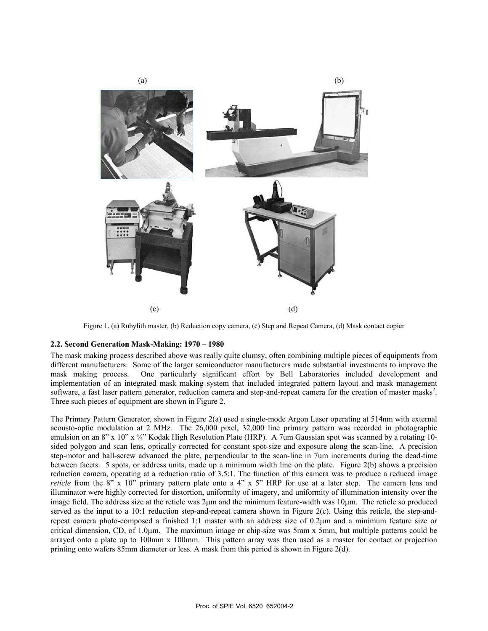

Figure 1. (a) Rubylith master, (b) Reduction copy camera, (c) Step and Repeat Camera, (d) Mask contact copier

# **2.2. Second Generation Mask-Making: 1970 – 1980**

The mask making process described above was really quite clumsy, often combining multiple pieces of equipments from different manufacturers. Some of the larger semiconductor manufacturers made substantial investments to improve the mask making process. One particularly significant effort by Bell Laboratories included development and implementation of an integrated mask making system that included integrated pattern layout and mask management software, a fast laser pattern generator, reduction camera and step-and-repeat camera for the creation of master masks<sup>2</sup>. Three such pieces of equipment are shown in Figure 2.

The Primary Pattern Generator, shown in Figure 2(a) used a single-mode Argon Laser operating at 514nm with external acousto-optic modulation at 2 MHz. The 26,000 pixel, 32,000 line primary pattern was recorded in photographic emulsion on an 8" x 10" x  $\frac{1}{4}$ " Kodak High Resolution Plate (HRP). A 7um Gaussian spot was scanned by a rotating 10sided polygon and scan lens, optically corrected for constant spot-size and exposure along the scan-line. A precision step-motor and ball-screw advanced the plate, perpendicular to the scan-line in 7um increments during the dead-time between facets. 5 spots, or address units, made up a minimum width line on the plate. Figure 2(b) shows a precision reduction camera, operating at a reduction ratio of 3.5:1. The function of this camera was to produce a reduced image *reticle* from the 8" x 10" primary pattern plate onto a 4" x 5" HRP for use at a later step. The camera lens and illuminator were highly corrected for distortion, uniformity of imagery, and uniformity of illumination intensity over the image field. The address size at the reticle was 2µm and the minimum feature-width was 10µm. The reticle so produced served as the input to a 10:1 reduction step-and-repeat camera shown in Figure 2(c). Using this reticle, the step-andrepeat camera photo-composed a finished 1:1 master with an address size of 0.2µm and a minimum feature size or critical dimension, CD, of 1.0µm. The maximum image or chip-size was 5mm x 5mm, but multiple patterns could be arrayed onto a plate up to 100mm x 100mm. This pattern array was then used as a master for contact or projection printing onto wafers 85mm diameter or less. A mask from this period is shown in Figure 2(d).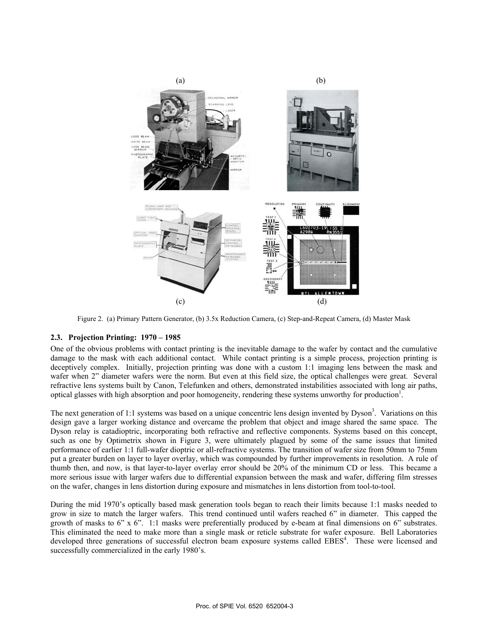

Figure 2. (a) Primary Pattern Generator, (b) 3.5x Reduction Camera, (c) Step-and-Repeat Camera, (d) Master Mask

# **2.3. Projection Printing: 1970 – 1985**

One of the obvious problems with contact printing is the inevitable damage to the wafer by contact and the cumulative damage to the mask with each additional contact. While contact printing is a simple process, projection printing is deceptively complex. Initially, projection printing was done with a custom 1:1 imaging lens between the mask and wafer when 2" diameter wafers were the norm. But even at this field size, the optical challenges were great. Several refractive lens systems built by Canon, Telefunken and others, demonstrated instabilities associated with long air paths, optical glasses with high absorption and poor homogeneity, rendering these systems unworthy for production<sup>1</sup>.

The next generation of 1:1 systems was based on a unique concentric lens design invented by  $Dyson<sup>3</sup>$ . Variations on this design gave a larger working distance and overcame the problem that object and image shared the same space. The Dyson relay is catadioptric, incorporating both refractive and reflective components. Systems based on this concept, such as one by Optimetrix shown in Figure 3, were ultimately plagued by some of the same issues that limited performance of earlier 1:1 full-wafer dioptric or all-refractive systems. The transition of wafer size from 50mm to 75mm put a greater burden on layer to layer overlay, which was compounded by further improvements in resolution. A rule of thumb then, and now, is that layer-to-layer overlay error should be 20% of the minimum CD or less. This became a more serious issue with larger wafers due to differential expansion between the mask and wafer, differing film stresses on the wafer, changes in lens distortion during exposure and mismatches in lens distortion from tool-to-tool.

During the mid 1970's optically based mask generation tools began to reach their limits because 1:1 masks needed to grow in size to match the larger wafers. This trend continued until wafers reached 6" in diameter. This capped the growth of masks to 6" x 6". 1:1 masks were preferentially produced by e-beam at final dimensions on 6" substrates. This eliminated the need to make more than a single mask or reticle substrate for wafer exposure. Bell Laboratories developed three generations of successful electron beam exposure systems called EBES<sup>4</sup>. These were licensed and successfully commercialized in the early 1980's.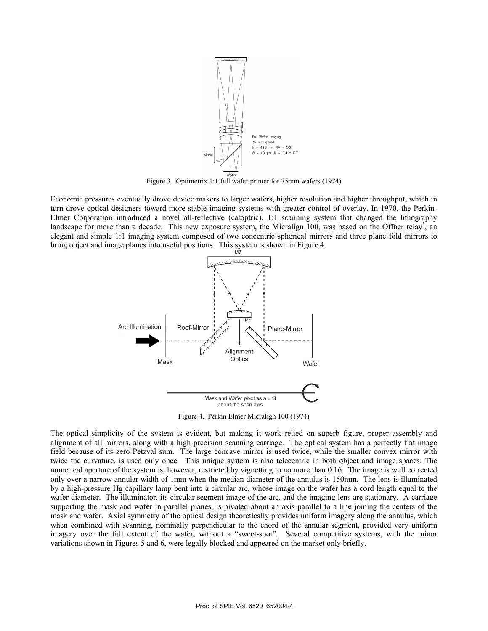

Figure 3. Optimetrix 1:1 full wafer printer for 75mm wafers (1974)

Economic pressures eventually drove device makers to larger wafers, higher resolution and higher throughput, which in turn drove optical designers toward more stable imaging systems with greater control of overlay. In 1970, the Perkin-Elmer Corporation introduced a novel all-reflective (catoptric), 1:1 scanning system that changed the lithography landscape for more than a decade. This new exposure system, the Micralign 100, was based on the Offner relay<sup>5</sup>, an elegant and simple 1:1 imaging system composed of two concentric spherical mirrors and three plane fold mirrors to bring object and image planes into useful positions. This system is shown in Figure 4.



about the scan axis

Figure 4. Perkin Elmer Micralign 100 (1974)

The optical simplicity of the system is evident, but making it work relied on superb figure, proper assembly and alignment of all mirrors, along with a high precision scanning carriage. The optical system has a perfectly flat image field because of its zero Petzval sum. The large concave mirror is used twice, while the smaller convex mirror with twice the curvature, is used only once. This unique system is also telecentric in both object and image spaces. The numerical aperture of the system is, however, restricted by vignetting to no more than 0.16. The image is well corrected only over a narrow annular width of 1mm when the median diameter of the annulus is 150mm. The lens is illuminated by a high-pressure Hg capillary lamp bent into a circular arc, whose image on the wafer has a cord length equal to the wafer diameter. The illuminator, its circular segment image of the arc, and the imaging lens are stationary. A carriage supporting the mask and wafer in parallel planes, is pivoted about an axis parallel to a line joining the centers of the mask and wafer. Axial symmetry of the optical design theoretically provides uniform imagery along the annulus, which when combined with scanning, nominally perpendicular to the chord of the annular segment, provided very uniform imagery over the full extent of the wafer, without a "sweet-spot". Several competitive systems, with the minor variations shown in Figures 5 and 6, were legally blocked and appeared on the market only briefly.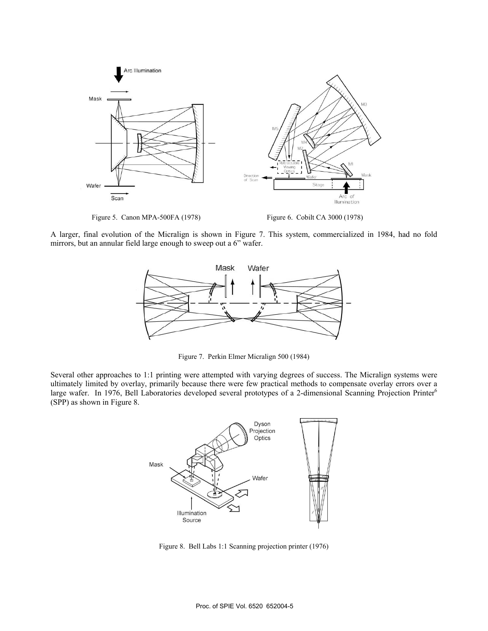

A larger, final evolution of the Micralign is shown in Figure 7. This system, commercialized in 1984, had no fold mirrors, but an annular field large enough to sweep out a 6" wafer.



Figure 7. Perkin Elmer Micralign 500 (1984)

Several other approaches to 1:1 printing were attempted with varying degrees of success. The Micralign systems were ultimately limited by overlay, primarily because there were few practical methods to compensate overlay errors over a large wafer. In 1976, Bell Laboratories developed several prototypes of a 2-dimensional Scanning Projection Printer<sup>6</sup> (SPP) as shown in Figure 8.



Figure 8. Bell Labs 1:1 Scanning projection printer (1976)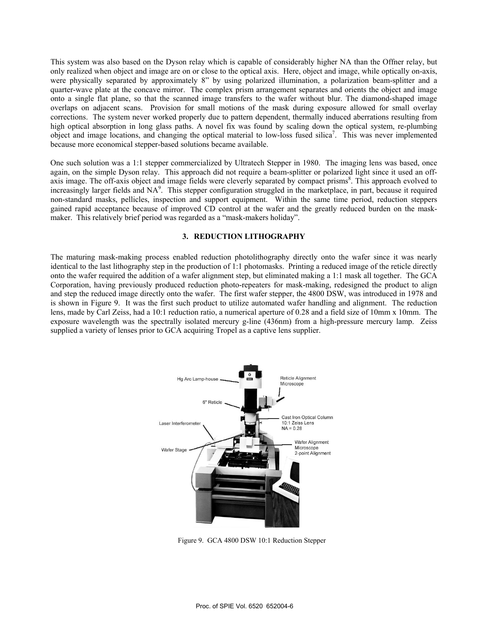This system was also based on the Dyson relay which is capable of considerably higher NA than the Offner relay, but only realized when object and image are on or close to the optical axis. Here, object and image, while optically on-axis, were physically separated by approximately 8" by using polarized illumination, a polarization beam-splitter and a quarter-wave plate at the concave mirror. The complex prism arrangement separates and orients the object and image onto a single flat plane, so that the scanned image transfers to the wafer without blur. The diamond-shaped image overlaps on adjacent scans. Provision for small motions of the mask during exposure allowed for small overlay corrections. The system never worked properly due to pattern dependent, thermally induced aberrations resulting from high optical absorption in long glass paths. A novel fix was found by scaling down the optical system, re-plumbing object and image locations, and changing the optical material to low-loss fused silica<sup>7</sup>. This was never implemented because more economical stepper-based solutions became available.

One such solution was a 1:1 stepper commercialized by Ultratech Stepper in 1980. The imaging lens was based, once again, on the simple Dyson relay. This approach did not require a beam-splitter or polarized light since it used an offaxis image. The off-axis object and image fields were cleverly separated by compact prisms<sup>8</sup>. This approach evolved to increasingly larger fields and NA<sup>9</sup>. This stepper configuration struggled in the marketplace, in part, because it required non-standard masks, pellicles, inspection and support equipment. Within the same time period, reduction steppers gained rapid acceptance because of improved CD control at the wafer and the greatly reduced burden on the maskmaker. This relatively brief period was regarded as a "mask-makers holiday".

# **3. REDUCTION LITHOGRAPHY**

The maturing mask-making process enabled reduction photolithography directly onto the wafer since it was nearly identical to the last lithography step in the production of 1:1 photomasks. Printing a reduced image of the reticle directly onto the wafer required the addition of a wafer alignment step, but eliminated making a 1:1 mask all together. The GCA Corporation, having previously produced reduction photo-repeaters for mask-making, redesigned the product to align and step the reduced image directly onto the wafer. The first wafer stepper, the 4800 DSW, was introduced in 1978 and is shown in Figure 9. It was the first such product to utilize automated wafer handling and alignment. The reduction lens, made by Carl Zeiss, had a 10:1 reduction ratio, a numerical aperture of 0.28 and a field size of 10mm x 10mm. The exposure wavelength was the spectrally isolated mercury g-line (436nm) from a high-pressure mercury lamp. Zeiss supplied a variety of lenses prior to GCA acquiring Tropel as a captive lens supplier.



Figure 9. GCA 4800 DSW 10:1 Reduction Stepper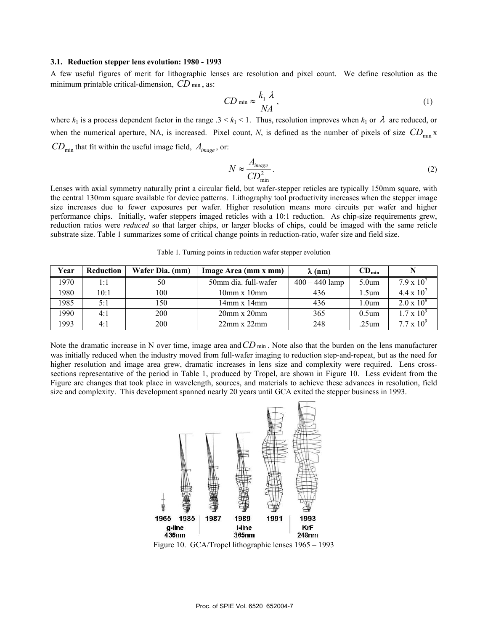#### **3.1. Reduction stepper lens evolution: 1980 - 1993**

A few useful figures of merit for lithographic lenses are resolution and pixel count. We define resolution as the minimum printable critical-dimension, *CD* min, as:

$$
CD \min \approx \frac{k_1 \lambda}{NA},\tag{1}
$$

where  $k_1$  is a process dependent factor in the range .3 <  $k_1$  < 1. Thus, resolution improves when  $k_1$  or  $\lambda$  are reduced, or when the numerical aperture, NA, is increased. Pixel count, N, is defined as the number of pixels of size  $CD_{min}$  x  $CD_{min}$  that fit within the useful image field,  $A_{image}$ , or:

$$
N \approx \frac{A_{image}}{CD_{min}^2} \,. \tag{2}
$$

Lenses with axial symmetry naturally print a circular field, but wafer-stepper reticles are typically 150mm square, with the central 130mm square available for device patterns. Lithography tool productivity increases when the stepper image size increases due to fewer exposures per wafer. Higher resolution means more circuits per wafer and higher performance chips. Initially, wafer steppers imaged reticles with a 10:1 reduction. As chip-size requirements grew, reduction ratios were *reduced* so that larger chips, or larger blocks of chips, could be imaged with the same reticle substrate size. Table 1 summarizes some of critical change points in reduction-ratio, wafer size and field size.

| Year | <b>Reduction</b> | Wafer Dia. (mm) | Image Area (mm x mm)                | $\lambda$ (nm)   | $CD_{min}$        |                      |
|------|------------------|-----------------|-------------------------------------|------------------|-------------------|----------------------|
| 1970 | 1:1              | 50              | 50mm dia. full-wafer                | $400 - 440$ lamp | 5.0 <sub>um</sub> | $7.9 \times 10^{7}$  |
| 1980 | 10:1             | 100             | 10 <sub>mm</sub> x 10 <sub>mm</sub> | 436              | l .5um            | $4.4 \times 10^{-7}$ |
| 1985 | 5:1              | 150             | $14mm \times 14mm$                  | 436              | 1.0um             | $2.0 \times 10^8$    |
| 1990 | 4:1              | 200             | $20mm \times 20mm$                  | 365              | $0.5$ um          | $1.7 \times 10^{9}$  |
| 1993 | 4:1              | 200             | $22mm \times 22mm$                  | 248              | .25um             | $7.7 \times 10^{9}$  |

Table 1. Turning points in reduction wafer stepper evolution

Note the dramatic increase in N over time, image area and CD min. Note also that the burden on the lens manufacturer was initially reduced when the industry moved from full-wafer imaging to reduction step-and-repeat, but as the need for higher resolution and image area grew, dramatic increases in lens size and complexity were required. Lens crosssections representative of the period in Table 1, produced by Tropel, are shown in Figure 10. Less evident from the Figure are changes that took place in wavelength, sources, and materials to achieve these advances in resolution, field size and complexity. This development spanned nearly 20 years until GCA exited the stepper business in 1993.

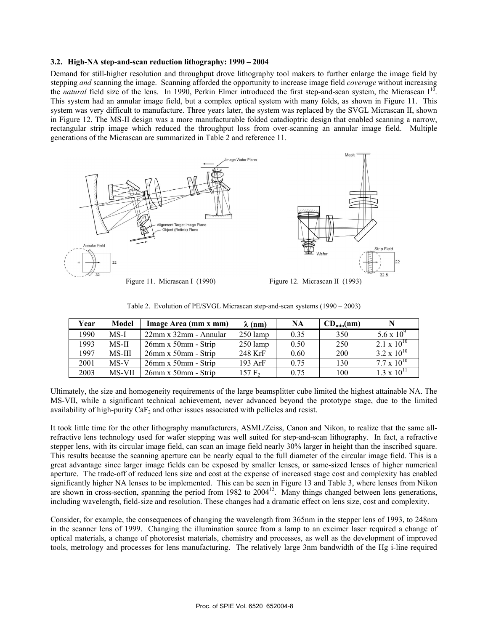# **3.2. High-NA step-and-scan reduction lithography: 1990 – 2004**

Demand for still-higher resolution and throughput drove lithography tool makers to further enlarge the image field by stepping *and* scanning the image. Scanning afforded the opportunity to increase image field *coverage* without increasing the *natural* field size of the lens. In 1990, Perkin Elmer introduced the first step-and-scan system, the Micrascan I<sup>10</sup>. This system had an annular image field, but a complex optical system with many folds, as shown in Figure 11. This system was very difficult to manufacture. Three years later, the system was replaced by the SVGL Micrascan II, shown in Figure 12. The MS-II design was a more manufacturable folded catadioptric design that enabled scanning a narrow, rectangular strip image which reduced the throughput loss from over-scanning an annular image field. Multiple generations of the Micrascan are summarized in Table 2 and reference 11.



| Year | Model  | Image Area (mm x mm)       | $\lambda$ (nm)     | NA   | $CD_{\min}$ (nm) |                      |
|------|--------|----------------------------|--------------------|------|------------------|----------------------|
| 1990 | MS-I   | 22mm x 32mm - Annular      | $250 \text{ lamp}$ | 0.35 | 350              | 5.6 x $10^9$         |
| 1993 | MS-II  | $26$ mm x 50mm - Strip     | $250$ lamp         | 0.50 | 250              | $2.1 \times 10^{10}$ |
| 1997 | MS-III | $26$ mm x 50mm - Strip     | 248 KrF            | 0.60 | 200              | $3.2 \times 10^{10}$ |
| 2001 | $MS-V$ | $26$ mm x 50mm - Strip     | $193$ ArF          | 0.75 | 130              | $7.7 \times 10^{10}$ |
| 2003 | MS-VII | $26mm \times 50mm$ - Strip | 157 F <sub>2</sub> | 0.75 | 100              | $1.3 \times 10^{11}$ |

Table 2. Evolution of PE/SVGL Micrascan step-and-scan systems (1990 – 2003)

Ultimately, the size and homogeneity requirements of the large beamsplitter cube limited the highest attainable NA. The MS-VII, while a significant technical achievement, never advanced beyond the prototype stage, due to the limited availability of high-purity  $CaF<sub>2</sub>$  and other issues associated with pellicles and resist.

It took little time for the other lithography manufacturers, ASML/Zeiss, Canon and Nikon, to realize that the same allrefractive lens technology used for wafer stepping was well suited for step-and-scan lithography. In fact, a refractive stepper lens, with its circular image field, can scan an image field nearly 30% larger in height than the inscribed square. This results because the scanning aperture can be nearly equal to the full diameter of the circular image field. This is a great advantage since larger image fields can be exposed by smaller lenses, or same-sized lenses of higher numerical aperture. The trade-off of reduced lens size and cost at the expense of increased stage cost and complexity has enabled significantly higher NA lenses to be implemented. This can be seen in Figure 13 and Table 3, where lenses from Nikon are shown in cross-section, spanning the period from 1982 to 2004<sup>12</sup>. Many things changed between lens generations, including wavelength, field-size and resolution. These changes had a dramatic effect on lens size, cost and complexity.

Consider, for example, the consequences of changing the wavelength from 365nm in the stepper lens of 1993, to 248nm in the scanner lens of 1999. Changing the illumination source from a lamp to an excimer laser required a change of optical materials, a change of photoresist materials, chemistry and processes, as well as the development of improved tools, metrology and processes for lens manufacturing. The relatively large 3nm bandwidth of the Hg i-line required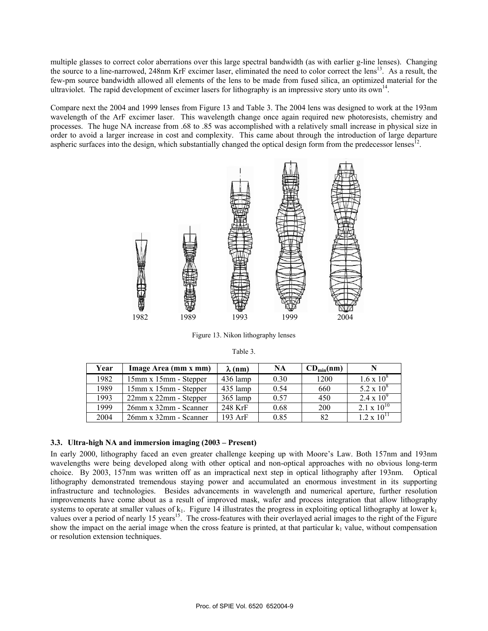multiple glasses to correct color aberrations over this large spectral bandwidth (as with earlier g-line lenses). Changing the source to a line-narrowed, 248nm KrF excimer laser, eliminated the need to color correct the lens<sup>13</sup>. As a result, the few-pm source bandwidth allowed all elements of the lens to be made from fused silica, an optimized material for the ultraviolet. The rapid development of excimer lasers for lithography is an impressive story unto its own<sup>14</sup>.

Compare next the 2004 and 1999 lenses from Figure 13 and Table 3. The 2004 lens was designed to work at the 193nm wavelength of the ArF excimer laser. This wavelength change once again required new photoresists, chemistry and processes. The huge NA increase from .68 to .85 was accomplished with a relatively small increase in physical size in order to avoid a larger increase in cost and complexity. This came about through the introduction of large departure aspheric surfaces into the design, which substantially changed the optical design form from the predecessor lenses<sup>12</sup>.



Figure 13. Nikon lithography lenses

| Year | Image Area (mm x mm)         | $\lambda$ (nm) | NA   | $CD_{min}(nm)$ |                      |
|------|------------------------------|----------------|------|----------------|----------------------|
| 1982 | 15mm x 15mm - Stepper        | $436$ lamp     | 0.30 | 1200           | $1.6 \times 10^8$    |
| 1989 | 15mm x 15mm - Stepper        | 435 lamp       | 0.54 | 660            | 5.2 x $10^8$         |
| 1993 | $22mm \times 22mm$ - Stepper | $365$ lamp     | 0.57 | 450            | $2.4 \times 10^{9}$  |
| 1999 | $26$ mm x $32$ mm - Scanner  | 248 KrF        | 0.68 | 200            | $2.1 \times 10^{10}$ |
| 2004 | $26mm \times 32mm$ - Scanner | $193$ ArF      | 0.85 | 82             | $1.2 \times 10^{11}$ |

# **3.3. Ultra-high NA and immersion imaging (2003 – Present)**

In early 2000, lithography faced an even greater challenge keeping up with Moore's Law. Both 157nm and 193nm wavelengths were being developed along with other optical and non-optical approaches with no obvious long-term choice. By 2003, 157nm was written off as an impractical next step in optical lithography after 193nm. Optical lithography demonstrated tremendous staying power and accumulated an enormous investment in its supporting infrastructure and technologies. Besides advancements in wavelength and numerical aperture, further resolution improvements have come about as a result of improved mask, wafer and process integration that allow lithography systems to operate at smaller values of  $k_1$ . Figure 14 illustrates the progress in exploiting optical lithography at lower  $k_1$  values over a period of nearly 15 years<sup>15</sup>. The cross-features with their overlayed aeria show the impact on the aerial image when the cross feature is printed, at that particular  $k_1$  value, without compensation or resolution extension techniques.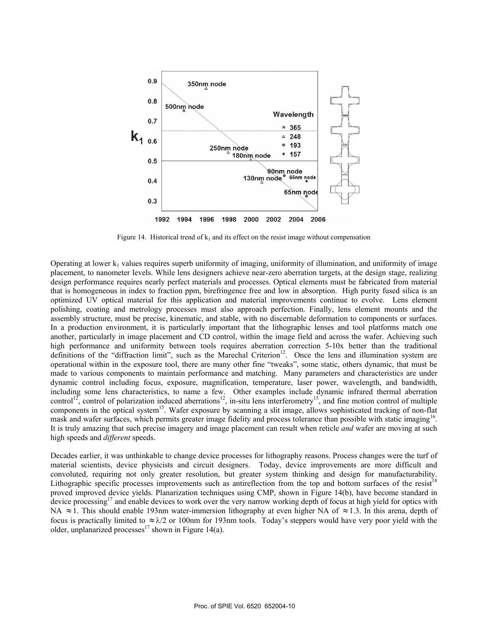

Figure 14. Historical trend of  $k_1$  and its effect on the resist image without compensation

Operating at lower  $k_1$  values requires superb uniformity of imaging, uniformity of illumination, and uniformity of image placement, to nanometer levels. While lens designers achieve near-zero aberration targets, at the design stage, realizing design performance requires nearly perfect materials and processes. Optical elements must be fabricated from material that is homogeneous in index to fraction ppm, birefringence free and low in absorption. High purity fused silica is an optimized UV optical material for this application and material improvements continue to evolve. Lens element polishing, coating and metrology processes must also approach perfection. Finally, lens element mounts and the assembly structure, must be precise, kinematic, and stable, with no discernable deformation to components or surfaces. In a production environment, it is particularly important that the lithographic lenses and tool platforms match one another, particularly in image placement and CD control, within the image field and across the wafer. Achieving such high performance and uniformity between tools requires aberration correction 5-10x better than the traditional definitions of the "diffraction limit", such as the Marechal Criterion<sup>12</sup>. Once the lens and illumination system are operational within in the exposure tool, there are many other fine "tweaks", some static, others dynamic, that must be made to various components to maintain performance and matching. Many parameters and characteristics are under dynamic control including focus, exposure, magnification, temperature, laser power, wavelength, and bandwidth, including some lens characteristics, to name a few. Other examples include dynamic infrared thermal aberration control<sup>12</sup>, control of polarization induced aberrations<sup>12</sup>, in-situ lens interferometry<sup>15</sup>, and fine motion control of multiple components in the optical system<sup>15</sup>. Wafer exposure by scanning a slit image, allows sophisticated tracking of non-flat mask and wafer surfaces, which permits greater image fidelity and process tolerance than possible with static imaging<sup>16</sup>. It is truly amazing that such precise imagery and image placement can result when reticle *and* wafer are moving at such high speeds and *different* speeds.

Decades earlier, it was unthinkable to change device processes for lithography reasons. Process changes were the turf of material scientists, device physicists and circuit designers. Today, device improvements are more difficult and convoluted, requiring not only greater resolution, but greater system thinking and design for manufacturability. Lithographic specific processes improvements such as antireflection from the top and bottom surfaces of the resist<sup>18</sup> proved improved device yields. Planarization techniques using CMP, shown in Figure 14(b), have become standard in device processing<sup>17</sup> and enable devices to work over the very narrow working depth of focus at high yield for optics with NA ≈1. This should enable 193nm water-immersion lithography at even higher NA of ≈1.3. In this arena, depth of focus is practically limited to  $\approx \lambda/2$  or 100nm for 193nm tools. Today's steppers would have very poor yield with the older, unplanarized processes<sup>17</sup> shown in Figure 14(a).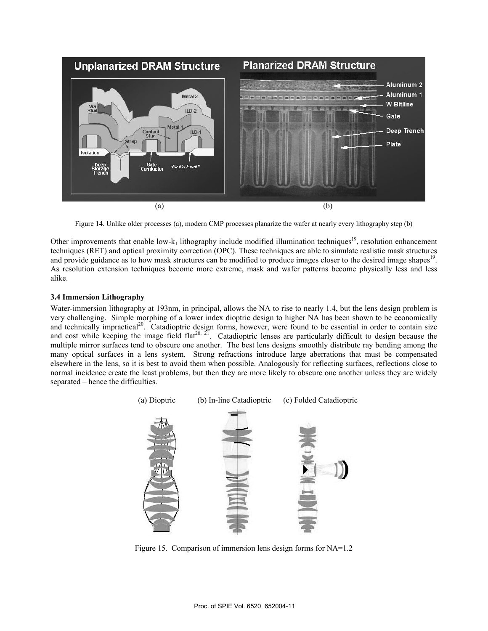

Figure 14. Unlike older processes (a), modern CMP processes planarize the wafer at nearly every lithography step (b)

Other improvements that enable low- $k_1$  lithography include modified illumination techniques<sup>19</sup>, resolution enhancement techniques (RET) and optical proximity correction (OPC). These techniques are able to simulate realistic mask structures and provide guidance as to how mask structures can be modified to produce images closer to the desired image shapes<sup>19</sup>. As resolution extension techniques become more extreme, mask and wafer patterns become physically less and less alike.

# **3.4 Immersion Lithography**

Water-immersion lithography at 193nm, in principal, allows the NA to rise to nearly 1.4, but the lens design problem is very challenging. Simple morphing of a lower index dioptric design to higher NA has been shown to be economically and technically impractical<sup>20</sup>. Catadioptric design forms, however, were found to be essential in order to contain size and cost while keeping the image field flat<sup>20, 21</sup>. Catadioptric lenses are particularly difficult to design because the multiple mirror surfaces tend to obscure one another. The best lens designs smoothly distribute ray bending among the many optical surfaces in a lens system. Strong refractions introduce large aberrations that must be compensated elsewhere in the lens, so it is best to avoid them when possible. Analogously for reflecting surfaces, reflections close to normal incidence create the least problems, but then they are more likely to obscure one another unless they are widely separated – hence the difficulties.



Figure 15. Comparison of immersion lens design forms for NA=1.2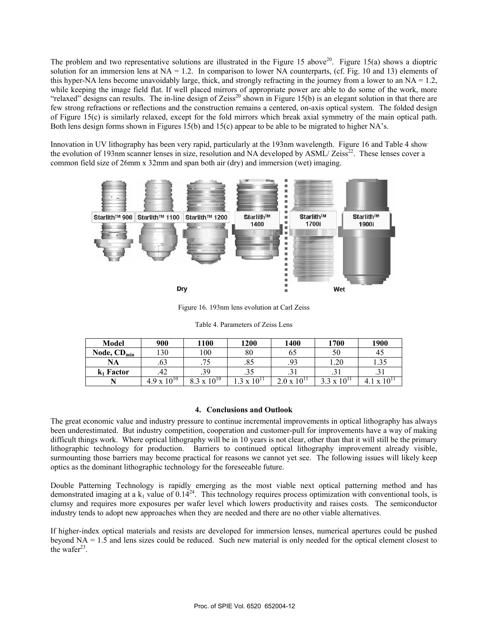The problem and two representative solutions are illustrated in the Figure 15 above<sup>20</sup>. Figure 15(a) shows a dioptric solution for an immersion lens at  $NA = 1.2$ . In comparison to lower NA counterparts, (cf. Fig. 10 and 13) elements of this hyper-NA lens become unavoidably large, thick, and strongly refracting in the journey from a lower to an  $NA = 1.2$ , while keeping the image field flat. If well placed mirrors of appropriate power are able to do some of the work, more "relaxed" designs can results. The in-line design of Zeiss<sup>20</sup> shown in Figure 15(b) is an elegant solution in that there are few strong refractions or reflections and the construction remains a centered, on-axis optical system. The folded design of Figure 15(c) is similarly relaxed, except for the fold mirrors which break axial symmetry of the main optical path. Both lens design forms shown in Figures 15(b) and 15(c) appear to be able to be migrated to higher NA's.

Innovation in UV lithography has been very rapid, particularly at the 193nm wavelength. Figure 16 and Table 4 show the evolution of 193nm scanner lenses in size, resolution and NA developed by ASML/ Zeiss<sup>22</sup>. These lenses cover a common field size of 26mm x 32mm and span both air (dry) and immersion (wet) imaging.



Figure 16. 193nm lens evolution at Carl Zeiss

| Model            | 900              | 1100                      | 1200                      | 1400               | 1700                      | <b>1900</b>                  |
|------------------|------------------|---------------------------|---------------------------|--------------------|---------------------------|------------------------------|
| Node, $CD_{min}$ | 130              | 100                       | 80                        | ხა                 | υc                        | 45                           |
| NA               | .63              | 74<br>. . J               | .85                       | .93                | 1.20                      | 1.35                         |
| $k_1$ Factor     | .42              | .39                       | $\mathcal{L}$<br>د د.     | <u>، ل</u>         | 1 ر.,                     | ٠. ت                         |
|                  | $10^{10}$<br>49x | $10^{10}$<br>$\mathbf{v}$ | $10^{11}$<br>$\mathbf{v}$ | $10^{11}$<br>2.0 x | $10^{11}$<br>$\mathbf{v}$ | $10^{\circ}$<br>$\mathbf{v}$ |

Table 4. Parameters of Zeiss Lens

# **4. Conclusions and Outlook**

The great economic value and industry pressure to continue incremental improvements in optical lithography has always been underestimated. But industry competition, cooperation and customer-pull for improvements have a way of making difficult things work. Where optical lithography will be in 10 years is not clear, other than that it will still be the primary lithographic technology for production. Barriers to continued optical lithography improvement already visible, surmounting those barriers may become practical for reasons we cannot yet see. The following issues will likely keep optics as the dominant lithographic technology for the foreseeable future.

Double Patterning Technology is rapidly emerging as the most viable next optical patterning method and has demonstrated imaging at a  $k_1$  value of  $0.14^{24}$ . This technology requires process optimization with conventional tools, is clumsy and requires more exposures per wafer level which lowers productivity and raises costs. The semiconductor industry tends to adopt new approaches when they are needed and there are no other viable alternatives.

If higher-index optical materials and resists are developed for immersion lenses, numerical apertures could be pushed beyond NA = 1.5 and lens sizes could be reduced. Such new material is only needed for the optical element closest to the wafer $23$